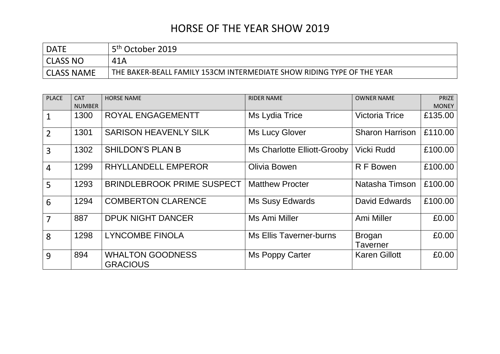## HORSE OF THE YEAR SHOW 2019

| <b>DATE</b>       | 5 <sup>th</sup> October 2019                                           |
|-------------------|------------------------------------------------------------------------|
| CLASS NO          | 41A                                                                    |
| <b>CLASS NAME</b> | THE BAKER-BEALL FAMILY 153CM INTERMEDIATE SHOW RIDING TYPE OF THE YEAR |

| <b>PLACE</b>   | <b>CAT</b>    | <b>HORSE NAME</b>                          | <b>RIDER NAME</b>              | <b>OWNER NAME</b>         | <b>PRIZE</b> |
|----------------|---------------|--------------------------------------------|--------------------------------|---------------------------|--------------|
|                | <b>NUMBER</b> |                                            |                                |                           | <b>MONEY</b> |
| $\mathbf{1}$   | 1300          | ROYAL ENGAGEMENTT                          | Ms Lydia Trice                 | <b>Victoria Trice</b>     | £135.00      |
| $\overline{2}$ | 1301          | <b>SARISON HEAVENLY SILK</b>               | <b>Ms Lucy Glover</b>          | <b>Sharon Harrison</b>    | £110.00      |
| 3              | 1302          | <b>SHILDON'S PLAN B</b>                    | Ms Charlotte Elliott-Grooby    | Vicki Rudd                | £100.00      |
| $\overline{4}$ | 1299          | RHYLLANDELL EMPEROR                        | <b>Olivia Bowen</b>            | R F Bowen                 | £100.00      |
| 5              | 1293          | <b>BRINDLEBROOK PRIME SUSPECT</b>          | <b>Matthew Procter</b>         | Natasha Timson            | £100.00      |
| 6              | 1294          | <b>COMBERTON CLARENCE</b>                  | <b>Ms Susy Edwards</b>         | David Edwards             | £100.00      |
| $\overline{7}$ | 887           | <b>DPUK NIGHT DANCER</b>                   | Ms Ami Miller                  | Ami Miller                | £0.00        |
| 8              | 1298          | <b>LYNCOMBE FINOLA</b>                     | <b>Ms Ellis Taverner-burns</b> | <b>Brogan</b><br>Taverner | £0.00        |
| 9              | 894           | <b>WHALTON GOODNESS</b><br><b>GRACIOUS</b> | Ms Poppy Carter                | <b>Karen Gillott</b>      | £0.00        |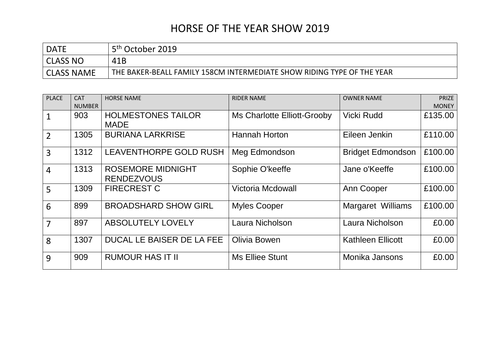## HORSE OF THE YEAR SHOW 2019

| <b>DATE</b>       | 5 <sup>th</sup> October 2019                                           |
|-------------------|------------------------------------------------------------------------|
| CLASS NO          | 41B                                                                    |
| <b>CLASS NAME</b> | THE BAKER-BEALL FAMILY 158CM INTERMEDIATE SHOW RIDING TYPE OF THE YEAR |

| <b>PLACE</b>   | <b>CAT</b>    | <b>HORSE NAME</b>                             | <b>RIDER NAME</b>           | <b>OWNER NAME</b>        | <b>PRIZE</b> |
|----------------|---------------|-----------------------------------------------|-----------------------------|--------------------------|--------------|
|                | <b>NUMBER</b> |                                               |                             |                          | <b>MONEY</b> |
|                | 903           | <b>HOLMESTONES TAILOR</b><br><b>MADE</b>      | Ms Charlotte Elliott-Grooby | Vicki Rudd               | £135.00      |
| $\overline{2}$ | 1305          | <b>BURIANA LARKRISE</b>                       | Hannah Horton               | Eileen Jenkin            | £110.00      |
| 3              | 1312          | <b>LEAVENTHORPE GOLD RUSH</b>                 | Meg Edmondson               | <b>Bridget Edmondson</b> | £100.00      |
| $\overline{4}$ | 1313          | <b>ROSEMORE MIDNIGHT</b><br><b>RENDEZVOUS</b> | Sophie O'keeffe             | Jane o'Keeffe            | £100.00      |
| 5              | 1309          | <b>FIRECREST C</b>                            | <b>Victoria Mcdowall</b>    | Ann Cooper               | £100.00      |
| 6              | 899           | <b>BROADSHARD SHOW GIRL</b>                   | <b>Myles Cooper</b>         | Margaret Williams        | £100.00      |
| $\overline{7}$ | 897           | <b>ABSOLUTELY LOVELY</b>                      | Laura Nicholson             | Laura Nicholson          | £0.00        |
| 8              | 1307          | DUCAL LE BAISER DE LA FEE                     | <b>Olivia Bowen</b>         | <b>Kathleen Ellicott</b> | £0.00        |
| 9              | 909           | <b>RUMOUR HAS IT II</b>                       | Ms Elliee Stunt             | Monika Jansons           | £0.00        |